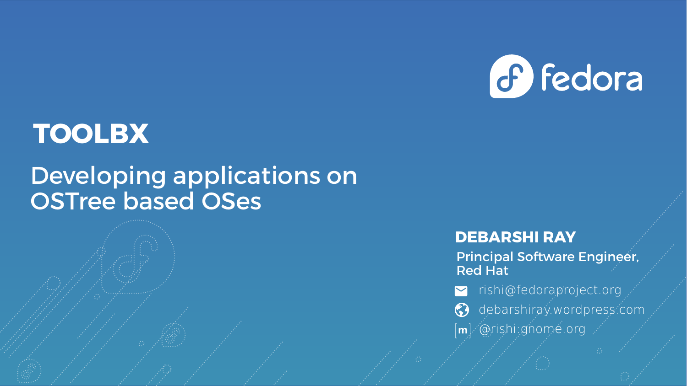

## **TOOLBX**

#### Developing applications on OSTree based OSes

#### **DEBARSHI RAY**

Principal Software Engineer, Red Hat

- v rishi@fedoraproject.org
- **c** debarshiray.wordpress.com
- @rishi:gnome.org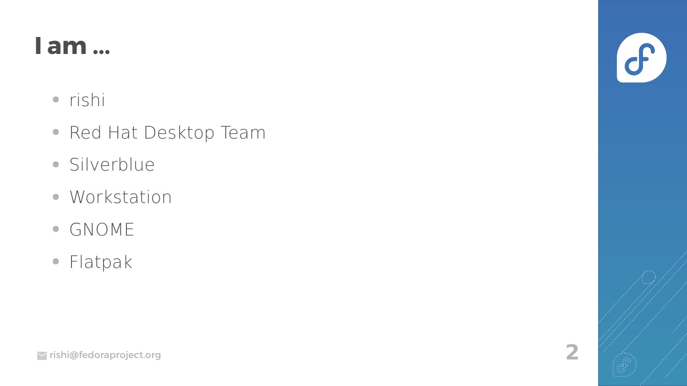#### **I am ...**

- rishi
- Red Hat Desktop Team
- Silverblue
- Workstation
- GNOME
- Flatpak

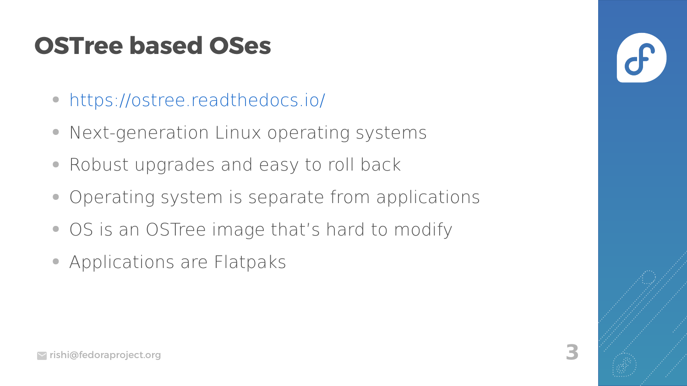- <https://ostree.readthedocs.io/>
- Next-generation Linux operating systems
- Robust upgrades and easy to roll back
- Operating system is separate from applications
- OS is an OSTree image that's hard to modify
- Applications are Flatpaks

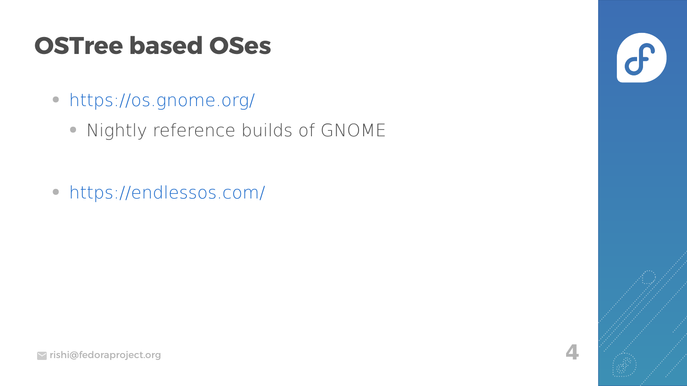- https://os.gnome.org/
	- Nightly reference builds of GNOME

• https://endlessos.com/

 $\mathcal{C}$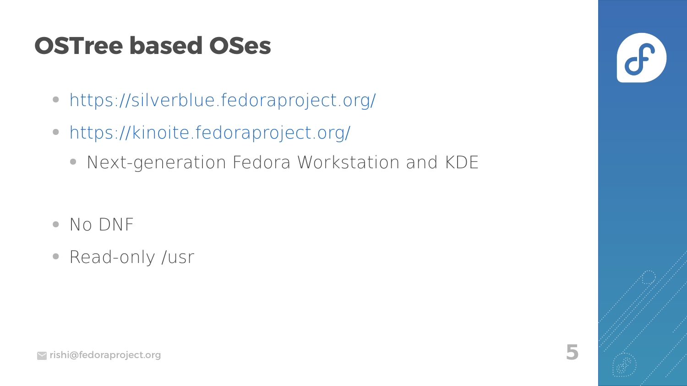- https://silverblue.fedoraproject.org/
- https://kinoite.fedoraproject.org/
	- Next-generation Fedora Workstation and KDE

- $\bullet$  No DNF
- Read-only /usr

 $\overline{\mathbf{r}}$ 

5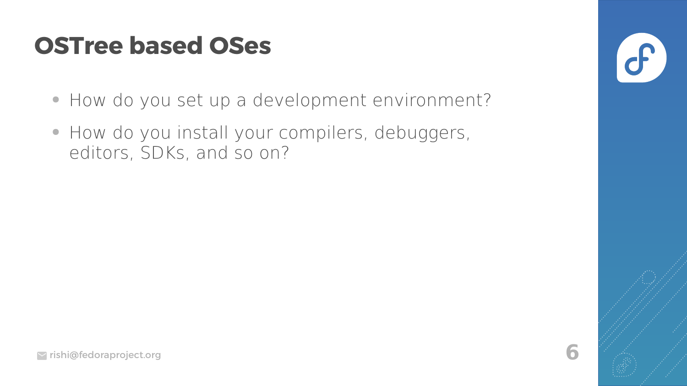- How do you set up a development environment?
- How do you install your compilers, debuggers, editors, SDKs, and so on?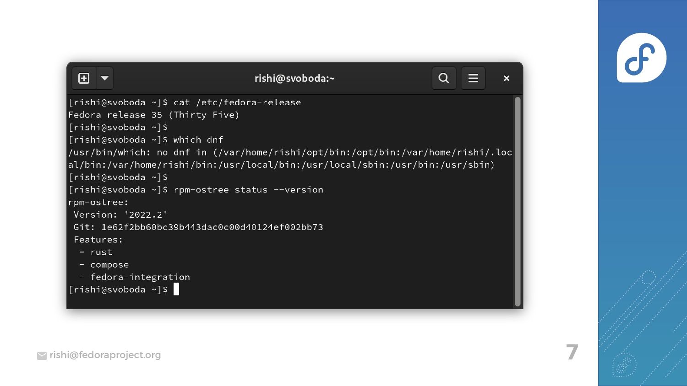

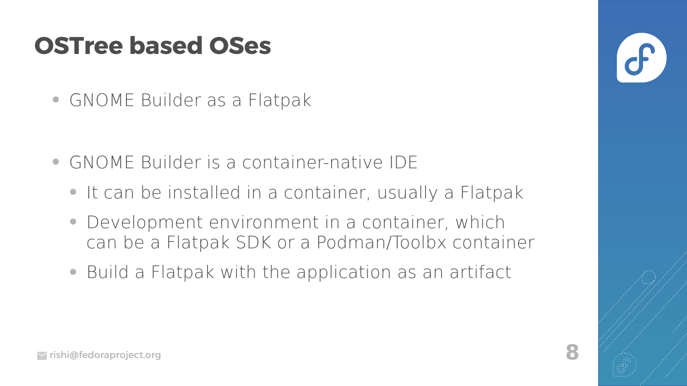• GNOME Builder as a Flatpak

- GNOME Builder is a container-native IDE
	- It can be installed in a container, usually a Flatpak
	- Development environment in a container, which can be a Flatpak SDK or a Podman/Toolbx container
	- Build a Flatpak with the application as an artifact

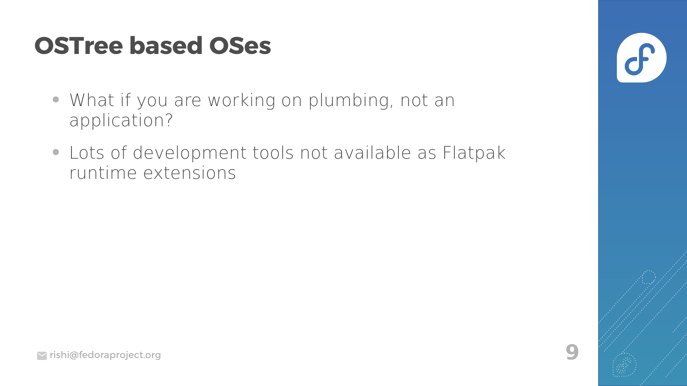- What if you are working on plumbing, not an application?
- Lots of development tools not available as Flatpak runtime extensions

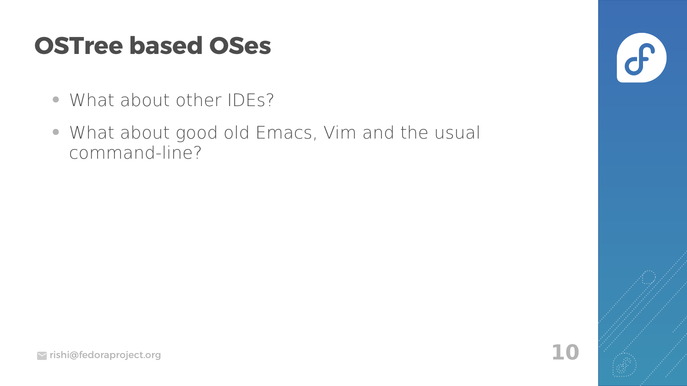- What about other IDEs?
- What about good old Emacs, Vim and the usual command-line?

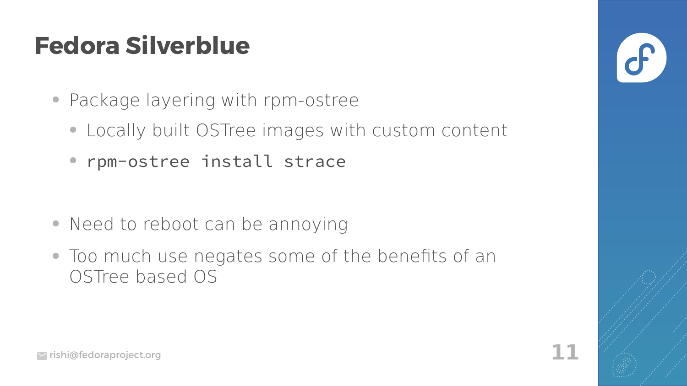## **Fedora Silverblue**

- Package layering with rpm-ostree
	- Locally built OSTree images with custom content
	- rpm-ostree install strace

- Need to reboot can be annoying
- Too much use negates some of the benefits of an OSTree based OS

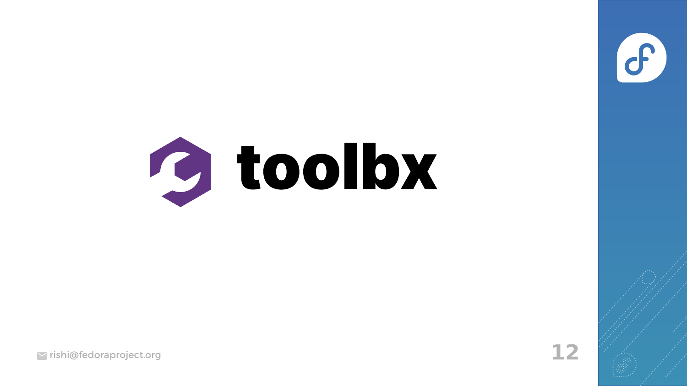

rishi@fedoraproject.org **12**

 $\sigma$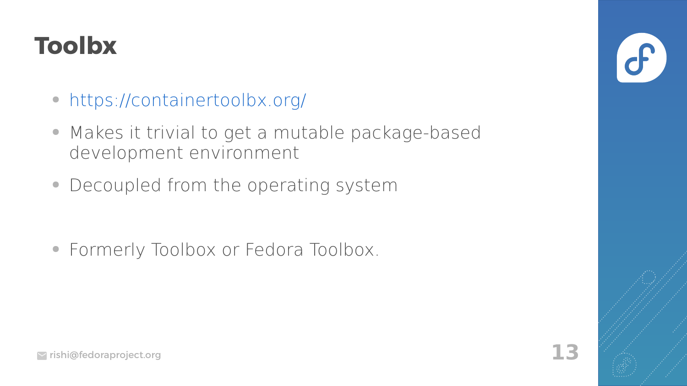## **Toolbx**

- <https://containertoolbx.org/>
- Makes it trivial to get a mutable package-based development environment
- Decoupled from the operating system

• Formerly Toolbox or Fedora Toolbox.

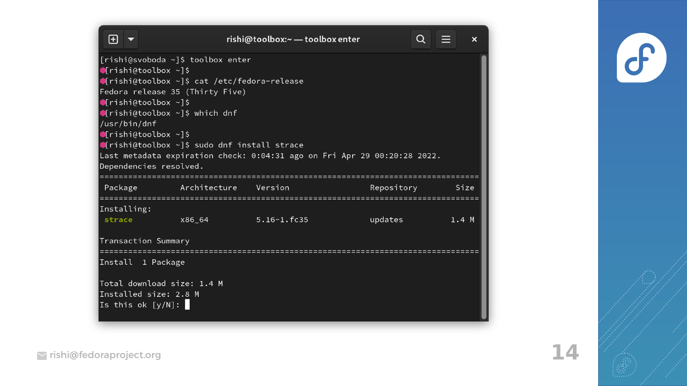| o                                                                          | rishi@toolbox:~ - toolbox enter |         | Q<br>$\boldsymbol{\mathsf{x}}$ |
|----------------------------------------------------------------------------|---------------------------------|---------|--------------------------------|
| [rishi@svoboda ~]\$ toolbox enter                                          |                                 |         |                                |
| $\bullet$ [rishi@toolbox ~]\$                                              |                                 |         |                                |
| ●[rishi@toolbox ~]\$ cat /etc/fedora-release                               |                                 |         |                                |
| Fedora release 35 (Thirty Five)                                            |                                 |         |                                |
| $[$ rishi@toolbox ~]\$                                                     |                                 |         |                                |
| $\bullet$ [rishi@toolbox ~]\$ which dnf                                    |                                 |         |                                |
| /usr/bin/dnf                                                               |                                 |         |                                |
| $\blacksquare$ rishi@toolbox ~]\$                                          |                                 |         |                                |
| Crishi@toolbox ~]\$ sudo dnf install strace                                |                                 |         |                                |
| Last metadata expiration check: 0:04:31 ago on Fri Apr 29 00:20:28 2022.   |                                 |         |                                |
| Dependencies resolved.                                                     |                                 |         |                                |
| Package                                                                    | Architecture Version            |         | Repository<br>Size             |
|                                                                            |                                 |         |                                |
| Installing:                                                                |                                 |         |                                |
| strace                                                                     | $5.16 - 1.16 - 35$              | updates | 1.4M                           |
|                                                                            |                                 |         |                                |
| Transaction Summary                                                        |                                 |         |                                |
|                                                                            |                                 |         |                                |
| Install 1 Package                                                          |                                 |         |                                |
| Total download size: 1.4 M                                                 |                                 |         |                                |
| Installed size: 2.8 M                                                      |                                 |         |                                |
| $\boxed{\mathtt{Is}$ this ok $\boxed{\mathsf{y/N}}$ : $\boxed{\mathsf{S}}$ |                                 |         |                                |
|                                                                            |                                 |         |                                |

 $\bigcirc$ 

rishi@fedoraproject.org **14**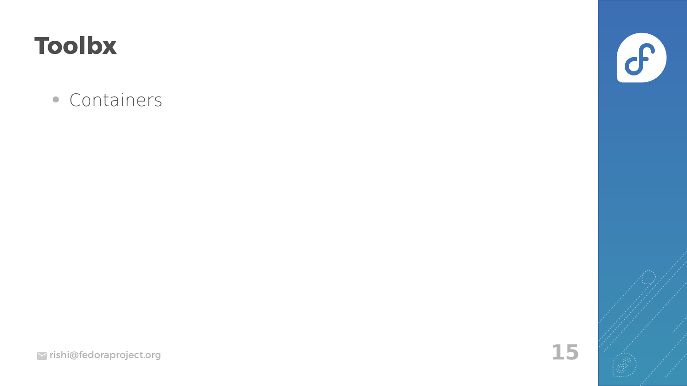## **Toolbx**

• Containers

 $\bigodot$ 

15

rishi@fedoraproject.org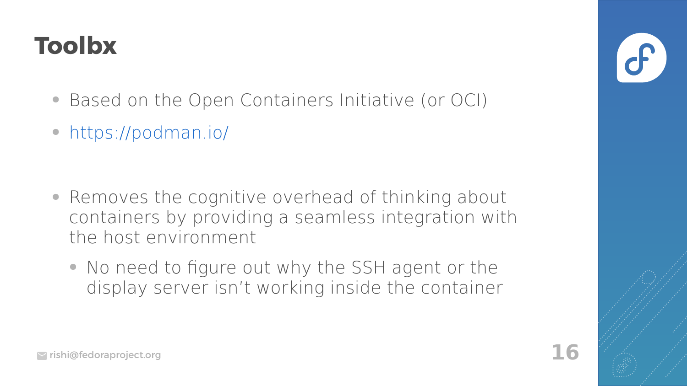## **Toolbx**

- Based on the Open Containers Initiative (or OCI)
- <https://podman.io/>

- Removes the cognitive overhead of thinking about containers by providing a seamless integration with the host environment
	- No need to figure out why the SSH agent or the display server isn't working inside the container

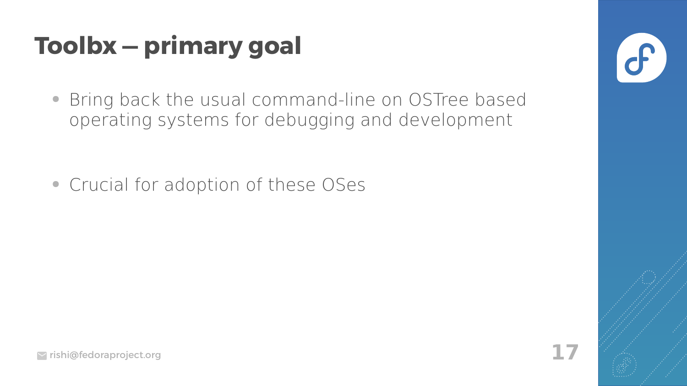# **Toolbx - primary goal**

• Bring back the usual command-line on OSTree based operating systems for debugging and development

• Crucial for adoption of these OSes

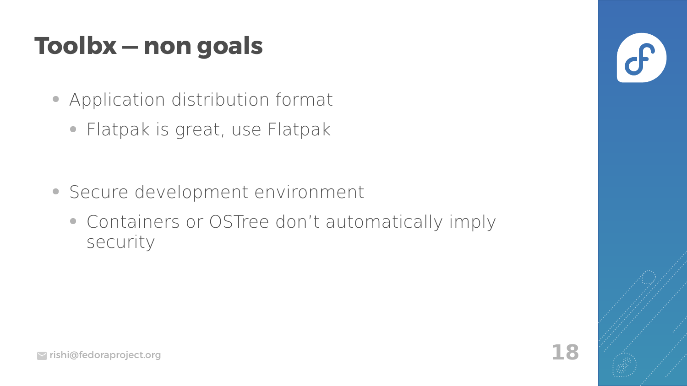## **Toolbx — non goals**

- Application distribution format
	- Flatpak is great, use Flatpak

- Secure development environment
	- Containers or OSTree don't automatically imply security

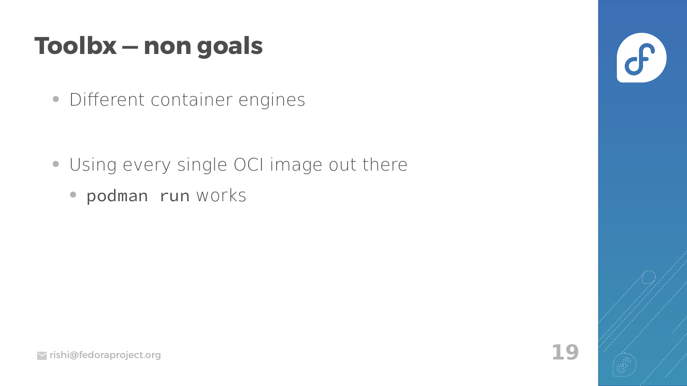#### **Toolbx — non goals**

• Different container engines

- Using every single OCI image out there
	- podman run works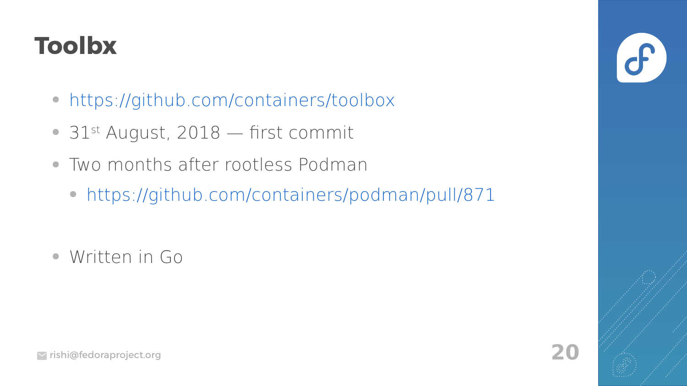## **Toolbx**

- <https://github.com/containers/toolbox>
- $\bullet$  31st August, 2018 first commit
- Two months after rootless Podman
	- <https://github.com/containers/podman/pull/871>

● Written in Go

 $\overline{\mathbf{d}}$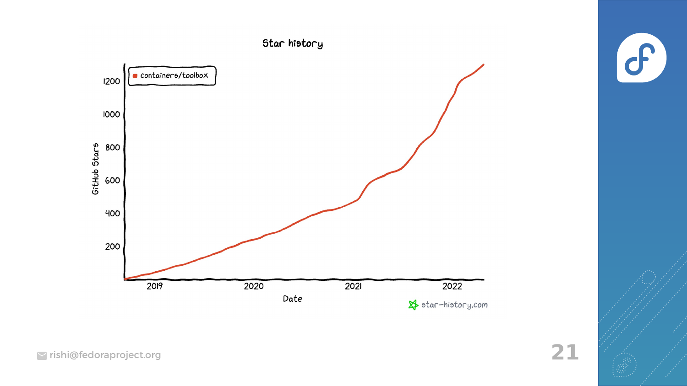

 $\sigma$ 

rishi@fedoraproject.org **21**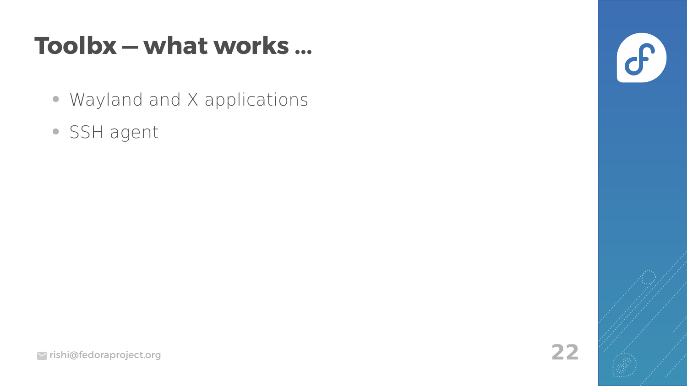#### Toolbx - what works ...

- Wayland and X applications
- SSH agent

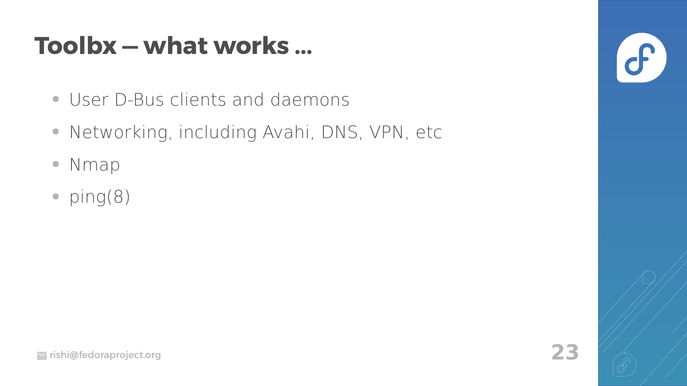#### Toolbx - what works ...

- User D-Bus clients and daemons
- Networking, including Avahi, DNS, VPN, etc
- Nmap  $\bullet$
- $ping(8)$

 $\mathcal{C}$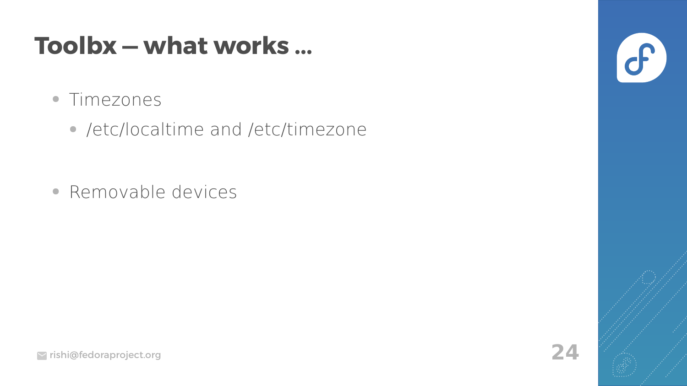#### **Toolbx — what works ...**

- Timezones
	- /etc/localtime and /etc/timezone

• Removable devices

 $\sigma$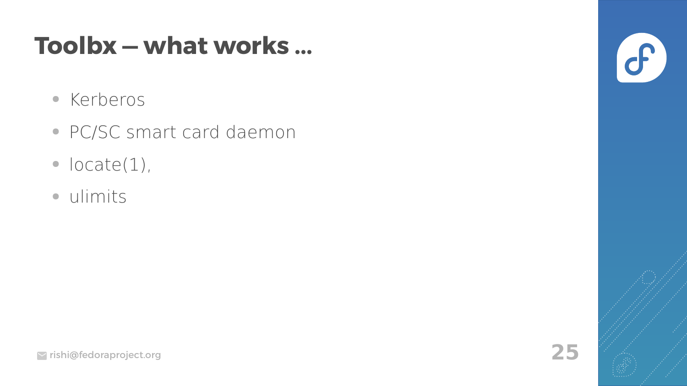#### Toolbx - what works ...

- Kerberos
- · PC/SC smart card daemon
- $\bullet$  locate(1),
- · ulimits

 $\sigma$ 

25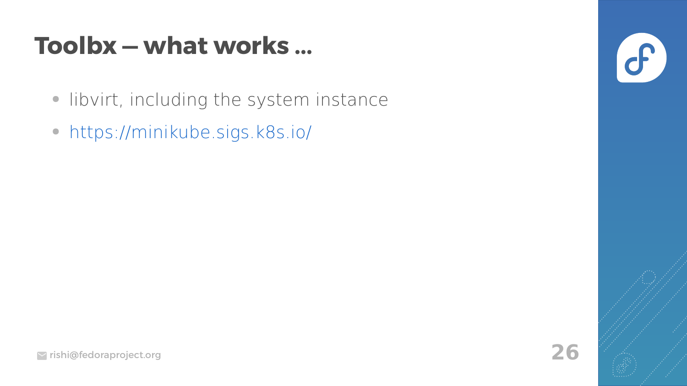#### Toolbx - what works ...

- · libvirt, including the system instance
- https://minikube.sigs.k8s.io/



26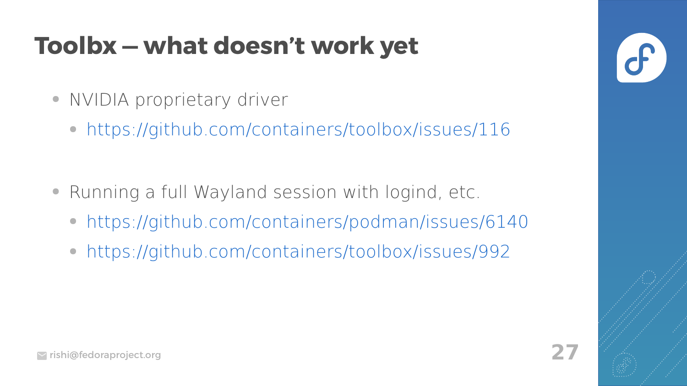## **Toolbx — what doesn't work yet**

- NVIDIA proprietary driver
	- <https://github.com/containers/toolbox/issues/116>

- Running a full Wayland session with logind, etc.
	- <https://github.com/containers/podman/issues/6140>
	- <https://github.com/containers/toolbox/issues/992>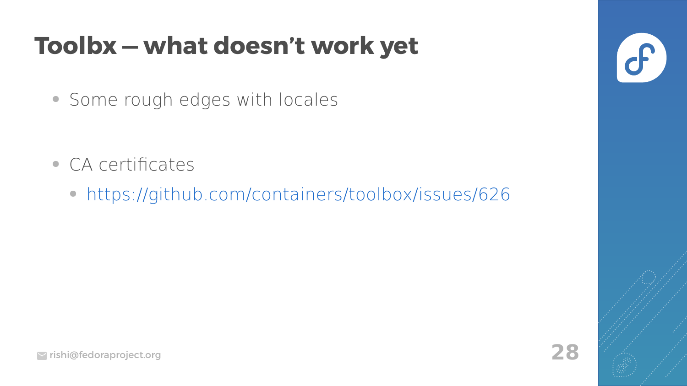## **Toolbx — what doesn't work yet**

• Some rough edges with locales

- CA certificates
	- <https://github.com/containers/toolbox/issues/626>

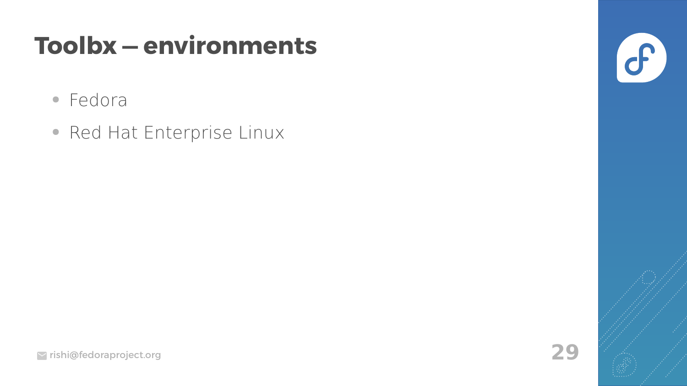## **Toolbx-environments**

- Fedora
- Red Hat Enterprise Linux

 $\sigma$ 

29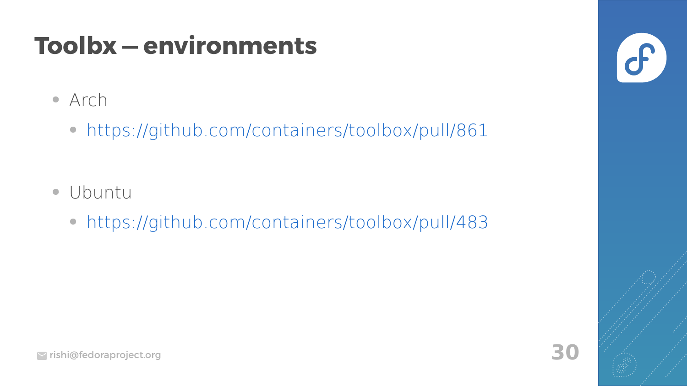## **Toolbx — environments**

- Arch
	- <https://github.com/containers/toolbox/pull/861>

- Ubuntu
	- <https://github.com/containers/toolbox/pull/483>

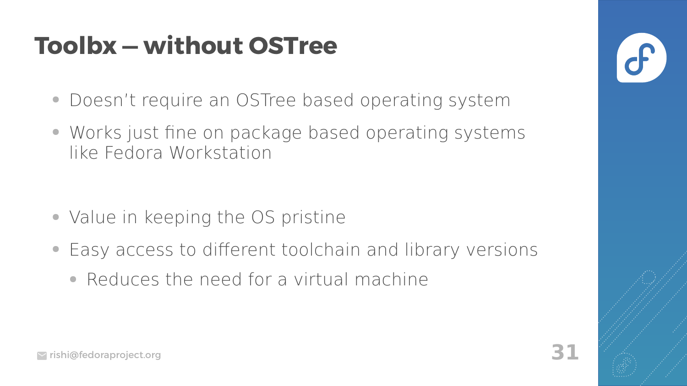## **Toolbx - without OSTree**

- Doesn't require an OSTree based operating system
- Works just fine on package based operating systems like Fedora Workstation

- Value in keeping the OS pristine
- Easy access to different toolchain and library versions
	- Reduces the need for a virtual machine